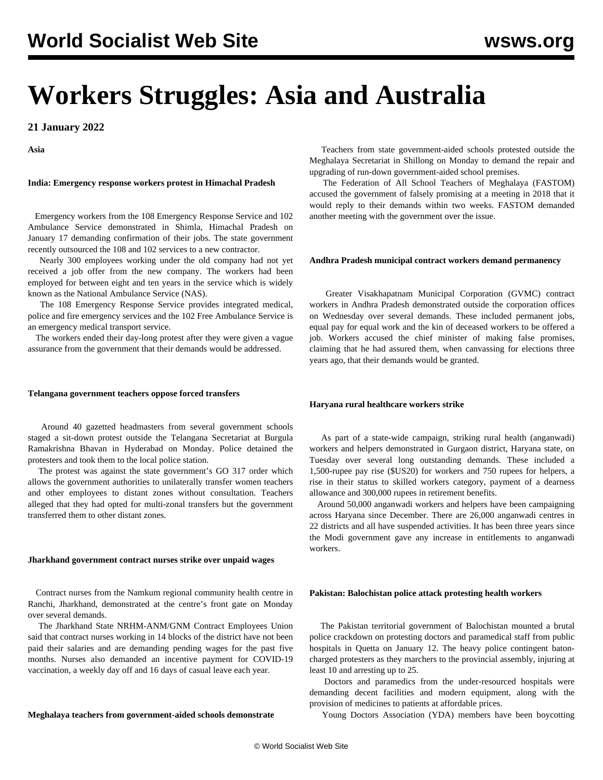# **Workers Struggles: Asia and Australia**

**21 January 2022**

**Asia**

## **India: Emergency response workers protest in Himachal Pradesh**

 Emergency workers from the 108 Emergency Response Service and 102 Ambulance Service demonstrated in Shimla, Himachal Pradesh on January 17 demanding confirmation of their jobs. The state government recently outsourced the 108 and 102 services to a new contractor.

 Nearly 300 employees working under the old company had not yet received a job offer from the new company. The workers had been employed for between eight and ten years in the service which is widely known as the National Ambulance Service (NAS).

 The 108 Emergency Response Service provides integrated medical, police and fire emergency services and the 102 Free Ambulance Service is an emergency medical transport service.

 The workers ended their day-long protest after they were given a vague assurance from the government that their demands would be addressed.

### **Telangana government teachers oppose forced transfers**

 Around 40 gazetted headmasters from several government schools staged a sit-down protest outside the Telangana Secretariat at Burgula Ramakrishna Bhavan in Hyderabad on Monday. Police detained the protesters and took them to the local police station.

 The protest was against the state government's GO 317 order which allows the government authorities to unilaterally transfer women teachers and other employees to distant zones without consultation. Teachers alleged that they had opted for multi-zonal transfers but the government transferred them to other distant zones.

#### **Jharkhand government contract nurses strike over unpaid wages**

 Contract nurses from the Namkum regional community health centre in Ranchi, Jharkhand, demonstrated at the centre's front gate on Monday over several demands.

 The Jharkhand State NRHM-ANM/GNM Contract Employees Union said that contract nurses working in 14 blocks of the district have not been paid their salaries and are demanding pending wages for the past five months. Nurses also demanded an incentive payment for COVID-19 vaccination, a weekly day off and 16 days of casual leave each year.

# **Meghalaya teachers from government-aided schools demonstrate**

 Teachers from state government-aided schools protested outside the Meghalaya Secretariat in Shillong on Monday to demand the repair and upgrading of run-down government-aided school premises.

 The Federation of All School Teachers of Meghalaya (FASTOM) accused the government of falsely promising at a meeting in 2018 that it would reply to their demands within two weeks. FASTOM demanded another meeting with the government over the issue.

## **Andhra Pradesh municipal contract workers demand permanency**

 Greater Visakhapatnam Municipal Corporation (GVMC) contract workers in Andhra Pradesh demonstrated outside the corporation offices on Wednesday over several demands. These included permanent jobs, equal pay for equal work and the kin of deceased workers to be offered a job. Workers accused the chief minister of making false promises, claiming that he had assured them, when canvassing for elections three years ago, that their demands would be granted.

## **Haryana rural healthcare workers strike**

 As part of a state-wide campaign, striking rural health (anganwadi) workers and helpers demonstrated in Gurgaon district, Haryana state, on Tuesday over several long outstanding demands. These included a 1,500-rupee pay rise (\$US20) for workers and 750 rupees for helpers, a rise in their status to skilled workers category, payment of a dearness allowance and 300,000 rupees in retirement benefits.

 Around 50,000 anganwadi workers and helpers have been campaigning across Haryana since December. There are 26,000 anganwadi centres in 22 districts and all have suspended activities. It has been three years since the Modi government gave any increase in entitlements to anganwadi workers.

## **Pakistan: Balochistan police attack protesting health workers**

 The Pakistan territorial government of Balochistan mounted a brutal police crackdown on protesting doctors and paramedical staff from public hospitals in Quetta on January 12. The heavy police contingent batoncharged protesters as they marchers to the provincial assembly, injuring at least 10 and arresting up to 25.

 Doctors and paramedics from the under-resourced hospitals were demanding decent facilities and modern equipment, along with the provision of medicines to patients at affordable prices.

Young Doctors Association (YDA) members have been boycotting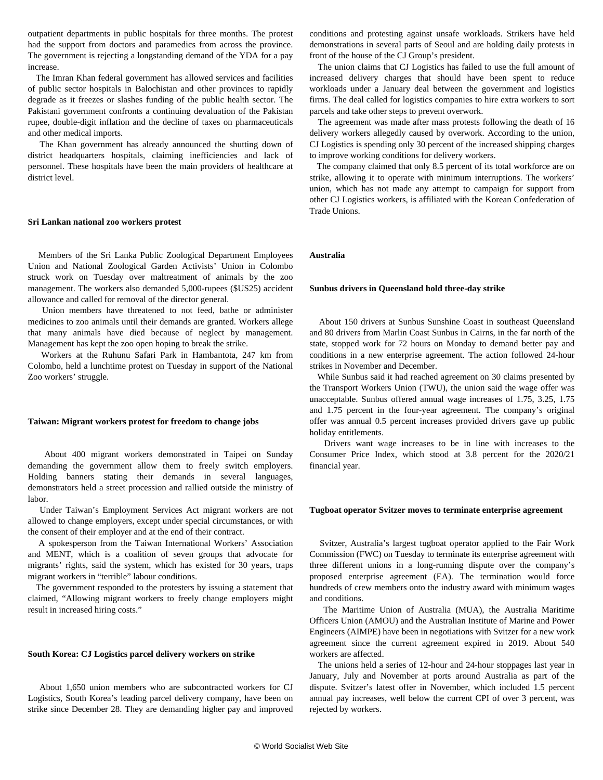outpatient departments in public hospitals for three months. The protest had the support from doctors and paramedics from across the province. The government is rejecting a longstanding demand of the YDA for a pay increase.

 The Imran Khan federal government has allowed services and facilities of public sector hospitals in Balochistan and other provinces to rapidly degrade as it freezes or slashes funding of the public health sector. The Pakistani government confronts a continuing devaluation of the Pakistan rupee, double-digit inflation and the decline of taxes on pharmaceuticals and other medical imports.

 The Khan government has already announced the shutting down of district headquarters hospitals, claiming inefficiencies and lack of personnel. These hospitals have been the main providers of healthcare at district level.

#### **Sri Lankan national zoo workers protest**

 Members of the Sri Lanka Public Zoological Department Employees Union and National Zoological Garden Activists' Union in Colombo struck work on Tuesday over maltreatment of animals by the zoo management. The workers also demanded 5,000-rupees (\$US25) accident allowance and called for removal of the director general.

 Union members have threatened to not feed, bathe or administer medicines to zoo animals until their demands are granted. Workers allege that many animals have died because of neglect by management. Management has kept the zoo open hoping to break the strike.

 Workers at the Ruhunu Safari Park in Hambantota, 247 km from Colombo, held a lunchtime protest on Tuesday in support of the National Zoo workers' struggle.

## **Taiwan: Migrant workers protest for freedom to change jobs**

 About 400 migrant workers demonstrated in Taipei on Sunday demanding the government allow them to freely switch employers. Holding banners stating their demands in several languages, demonstrators held a street procession and rallied outside the ministry of labor.

 Under Taiwan's Employment Services Act migrant workers are not allowed to change employers, except under special circumstances, or with the consent of their employer and at the end of their contract.

 A spokesperson from the Taiwan International Workers' Association and MENT, which is a coalition of seven groups that advocate for migrants' rights, said the system, which has existed for 30 years, traps migrant workers in "terrible" labour conditions.

 The government responded to the protesters by issuing a statement that claimed, "Allowing migrant workers to freely change employers might result in increased hiring costs."

#### **South Korea: CJ Logistics parcel delivery workers on strike**

 About 1,650 union members who are subcontracted workers for CJ Logistics, South Korea's leading parcel delivery company, have been on strike since December 28. They are demanding higher pay and improved conditions and protesting against unsafe workloads. Strikers have held demonstrations in several parts of Seoul and are holding daily protests in front of the house of the CJ Group's president.

 The union claims that CJ Logistics has failed to use the full amount of increased delivery charges that should have been spent to reduce workloads under a January deal between the government and logistics firms. The deal called for logistics companies to hire extra workers to sort parcels and take other steps to prevent overwork.

 The agreement was made after mass protests following the death of 16 delivery workers allegedly caused by overwork. According to the union, CJ Logistics is spending only 30 percent of the increased shipping charges to improve working conditions for delivery workers.

 The company claimed that only 8.5 percent of its total workforce are on strike, allowing it to operate with minimum interruptions. The workers' union, which has not made any attempt to campaign for support from other CJ Logistics workers, is affiliated with the Korean Confederation of Trade Unions.

# **Australia**

#### **Sunbus drivers in Queensland hold three-day strike**

 About 150 drivers at Sunbus Sunshine Coast in southeast Queensland and 80 drivers from Marlin Coast Sunbus in Cairns, in the far north of the state, stopped work for 72 hours on Monday to demand better pay and conditions in a new enterprise agreement. The action followed 24-hour strikes in November and December.

 While Sunbus said it had reached agreement on 30 claims presented by the Transport Workers Union (TWU), the union said the wage offer was unacceptable. Sunbus offered annual wage increases of 1.75, 3.25, 1.75 and 1.75 percent in the four-year agreement. The company's original offer was annual 0.5 percent increases provided drivers gave up public holiday entitlements.

 Drivers want wage increases to be in line with increases to the Consumer Price Index, which stood at 3.8 percent for the 2020/21 financial year.

#### **Tugboat operator Svitzer moves to terminate enterprise agreement**

 Svitzer, Australia's largest tugboat operator applied to the Fair Work Commission (FWC) on Tuesday to terminate its enterprise agreement with three different unions in a long-running dispute over the company's proposed enterprise agreement (EA). The termination would force hundreds of crew members onto the industry award with minimum wages and conditions.

 The Maritime Union of Australia (MUA), the Australia Maritime Officers Union (AMOU) and the Australian Institute of Marine and Power Engineers (AIMPE) have been in negotiations with Svitzer for a new work agreement since the current agreement expired in 2019. About 540 workers are affected.

 The unions held a series of 12-hour and 24-hour stoppages last year in January, July and November at ports around Australia as part of the dispute. Svitzer's latest offer in November, which included 1.5 percent annual pay increases, well below the current CPI of over 3 percent, was rejected by workers.